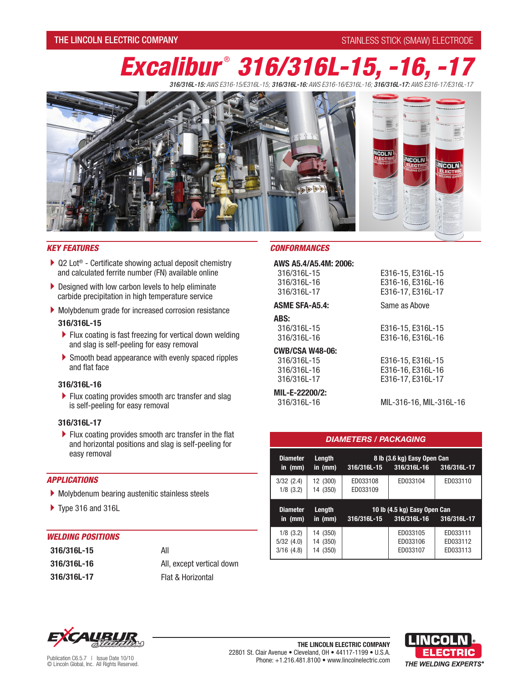# THE LINCOLN ELECTRIC COMPANY **STAINLESS STICK (SMAW) ELECTRODE**

# *Excalibur* ®  *316/316L-15, -16, -17*

*316/316L-15: AWS E316-15/E316L-15; 316/316L-16: AWS E316-16/E316L-16; 316/316L-17: AWS E316-17/E316L-17*



- $\triangleright$  Q2 Lot<sup>®</sup> Certificate showing actual deposit chemistry and calculated ferrite number (FN) available online
- Designed with low carbon levels to help eliminate carbide precipitation in high temperature service
- Molybdenum grade for increased corrosion resistance

#### **316/316L-15**

- Flux coating is fast freezing for vertical down welding and slag is self-peeling for easy removal
- Smooth bead appearance with evenly spaced ripples and flat face

## **316/316L-16**

 $\blacktriangleright$  Flux coating provides smooth arc transfer and slag is self-peeling for easy removal

#### **316/316L-17**

Flux coating provides smooth arc transfer in the flat and horizontal positions and slag is self-peeling for easy removal

#### *APPLICATIONS*

- Molybdenum bearing austenitic stainless steels
- Type 316 and 316L

## *WELDING POSITIONS*

| 316/316L-15 | All                       |
|-------------|---------------------------|
| 316/316L-16 | All, except vertical down |
| 316/316L-17 | Flat & Horizontal         |

#### *KEY FEATURES CONFORMANCES*

| AWS A5.4/A5.4M: 2006:                     |   |
|-------------------------------------------|---|
| 316/316L-15<br>316/316L-16<br>316/316L-17 | F |
| <b>ASME SFA-A5.4:</b>                     |   |
| ABS:                                      |   |
| 316/316L-15                               | F |
| 316/316L-16                               | F |
| <b>CWB/CSA W48-06:</b>                    |   |
| 316/316L-15                               | F |
| .                                         |   |

316/316L-16 316/316L-17

**MIL-E-22200/2:**  316/316L-16

E316-15, E316L-15 E316-16, E316L-16 E316-17, E316L-17 Same as Above

E316-15, E316L-15 E316-16, E316L-16

#### E316-15, E316L-15 E316-16, E316L-16 E316-17, E316L-17

MIL-316-16, MIL-316L-16

## *DIAMETERS / PACKAGING*

| <b>Diameter</b><br>in $(mm)$ | Length<br>in $(mm)$  | 316/316L-15          | 8 lb (3.6 kg) Easy Open Can<br>316/316L-16  | 316/316L-17 |
|------------------------------|----------------------|----------------------|---------------------------------------------|-------------|
| 3/32(2.4)<br>$1/8$ $(3.2)$   | 12 (300)<br>14 (350) | ED033108<br>ED033109 | ED033104                                    | ED033110    |
|                              |                      |                      |                                             |             |
| <b>Diameter</b><br>in $(mm)$ | Length<br>in $(mm)$  | 316/316L-15          | 10 lb (4.5 kg) Easy Open Can<br>316/316L-16 | 316/316L-17 |



**THE LINCOLN ELECTRIC COMPANY** Publication C6.5.7 | Issue Date 10/10 **Publication C6.5.7** | Issue Date 10/10 **Phone: +1.216.481.8100 • WWW.lincolnelectric.com © Lincoln Global, Inc. All Rights Reserved.**